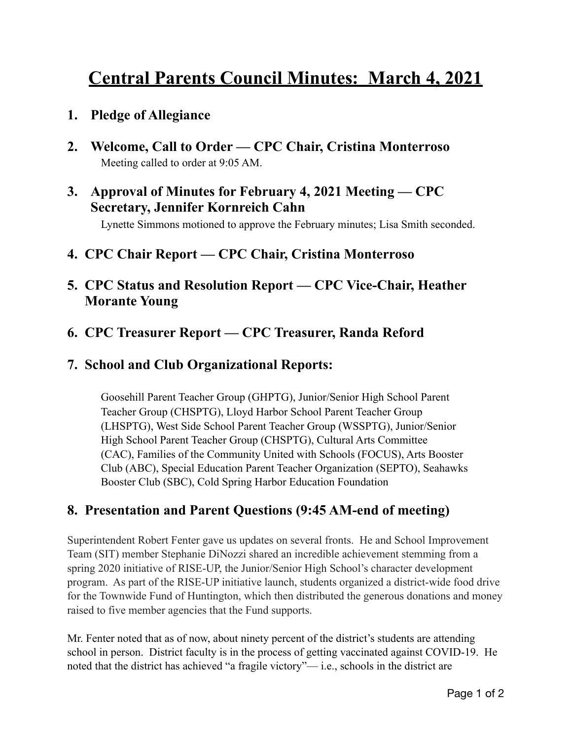# **Central Parents Council Minutes: March 4, 2021**

## **1. Pledge of Allegiance**

- **2. Welcome, Call to Order CPC Chair, Cristina Monterroso**  Meeting called to order at 9:05 AM.
- **3. Approval of Minutes for February 4, 2021 Meeting CPC Secretary, Jennifer Kornreich Cahn**

Lynette Simmons motioned to approve the February minutes; Lisa Smith seconded.

- **4. CPC Chair Report CPC Chair, Cristina Monterroso**
- **5. CPC Status and Resolution Report CPC Vice-Chair, Heather Morante Young**
- **6. CPC Treasurer Report CPC Treasurer, Randa Reford**

## **7. School and Club Organizational Reports:**

Goosehill Parent Teacher Group (GHPTG), Junior/Senior High School Parent Teacher Group (CHSPTG), Lloyd Harbor School Parent Teacher Group (LHSPTG), West Side School Parent Teacher Group (WSSPTG), Junior/Senior High School Parent Teacher Group (CHSPTG), Cultural Arts Committee (CAC), Families of the Community United with Schools (FOCUS), Arts Booster Club (ABC), Special Education Parent Teacher Organization (SEPTO), Seahawks Booster Club (SBC), Cold Spring Harbor Education Foundation

# **8. Presentation and Parent Questions (9:45 AM-end of meeting)**

Superintendent Robert Fenter gave us updates on several fronts. He and School Improvement Team (SIT) member Stephanie DiNozzi shared an incredible achievement stemming from a spring 2020 initiative of RISE-UP, the Junior/Senior High School's character development program. As part of the RISE-UP initiative launch, students organized a district-wide food drive for the Townwide Fund of Huntington, which then distributed the generous donations and money raised to five member agencies that the Fund supports.

Mr. Fenter noted that as of now, about ninety percent of the district's students are attending school in person. District faculty is in the process of getting vaccinated against COVID-19. He noted that the district has achieved "a fragile victory"— i.e., schools in the district are